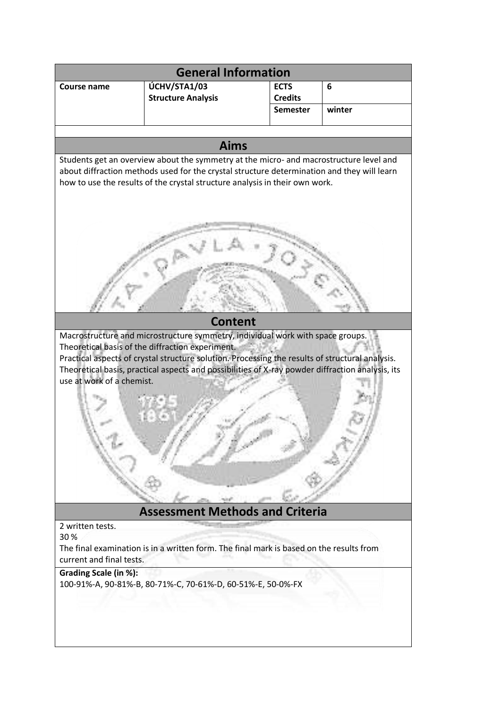